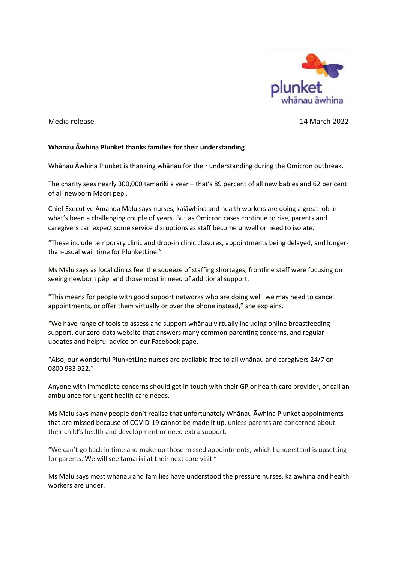

## Media release 14 March 2022

## **Whānau Āwhina Plunket thanks families for their understanding**

Whānau Āwhina Plunket is thanking whānau for their understanding during the Omicron outbreak.

The charity sees nearly 300,000 tamariki a year – that's 89 percent of all new babies and 62 per cent of all newborn Māori pēpi.

Chief Executive Amanda Malu says nurses, kaiāwhina and health workers are doing a great job in what's been a challenging couple of years. But as Omicron cases continue to rise, parents and caregivers can expect some service disruptions as staff become unwell or need to isolate.

"These include temporary clinic and drop-in clinic closures, appointments being delayed, and longerthan-usual wait time for PlunketLine."

Ms Malu says as local clinics feel the squeeze of staffing shortages, frontline staff were focusing on seeing newborn pēpi and those most in need of additional support.

"This means for people with good support networks who are doing well, we may need to cancel appointments, or offer them virtually or over the phone instead," she explains.

"We have range of tools to assess and support whānau virtually including online breastfeeding support, our zero-data website that answers many common parenting concerns, and regular updates and helpful advice on our Facebook page.

"Also, our wonderful PlunketLine nurses are available free to all whānau and caregivers 24/7 on 0800 933 922."

Anyone with immediate concerns should get in touch with their GP or health care provider, or call an ambulance for urgent health care needs.

Ms Malu says many people don't realise that unfortunately Whānau Āwhina Plunket appointments that are missed because of COVID-19 cannot be made it up, unless parents are concerned about their child's health and development or need extra support.

"We can't go back in time and make up those missed appointments, which I understand is upsetting for parents. We will see tamariki at their next core visit."

Ms Malu says most whānau and families have understood the pressure nurses, kaiāwhina and health workers are under.